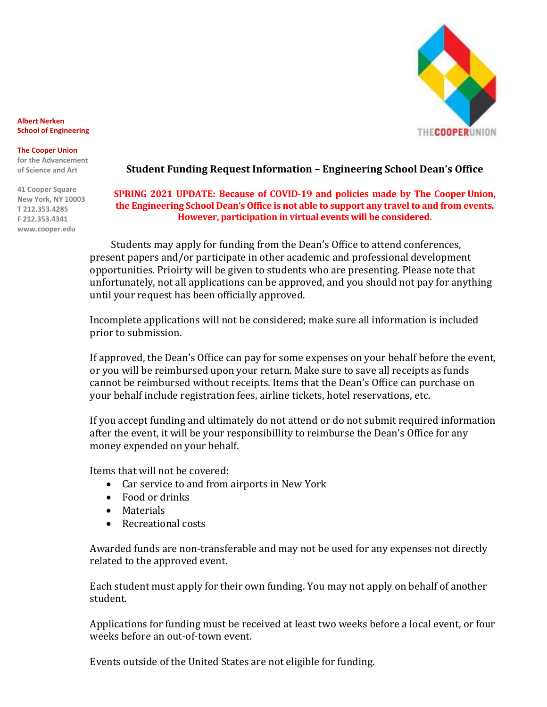

**Albert Nerken School of Engineering**

#### **The Cooper Union**

**for the Advancement of Science and Art**

**41 Cooper Square New York, NY 10003 T 212.353.4285 F 212.353.4341 www.cooper.edu**

### **Student Funding Request Information – Engineering School Dean's Office**

### **SPRING 2021 UPDATE: Because of COVID-19 and policies made by The Cooper Union, the Engineering School Dean's Office is not able to support any travel to and from events. However, participation in virtual events will be considered.**

Students may apply for funding from the Dean's Office to attend conferences, present papers and/or participate in other academic and professional development opportunities. Prioirty will be given to students who are presenting. Please note that unfortunately, not all applications can be approved, and you should not pay for anything until your request has been officially approved.

Incomplete applications will not be considered; make sure all information is included prior to submission.

If approved, the Dean's Office can pay for some expenses on your behalf before the event, or you will be reimbursed upon your return. Make sure to save all receipts as funds cannot be reimbursed without receipts. Items that the Dean's Office can purchase on your behalf include registration fees, airline tickets, hotel reservations, etc.

If you accept funding and ultimately do not attend or do not submit required information after the event, it will be your responsibillity to reimburse the Dean's Office for any money expended on your behalf.

Items that will not be covered:

- Car service to and from airports in New York
- Food or drinks
- Materials
- Recreational costs

Awarded funds are non-transferable and may not be used for any expenses not directly related to the approved event.

Each student must apply for their own funding. You may not apply on behalf of another student.

Applications for funding must be received at least two weeks before a local event, or four weeks before an out-of-town event.

Events outside of the United States are not eligible for funding.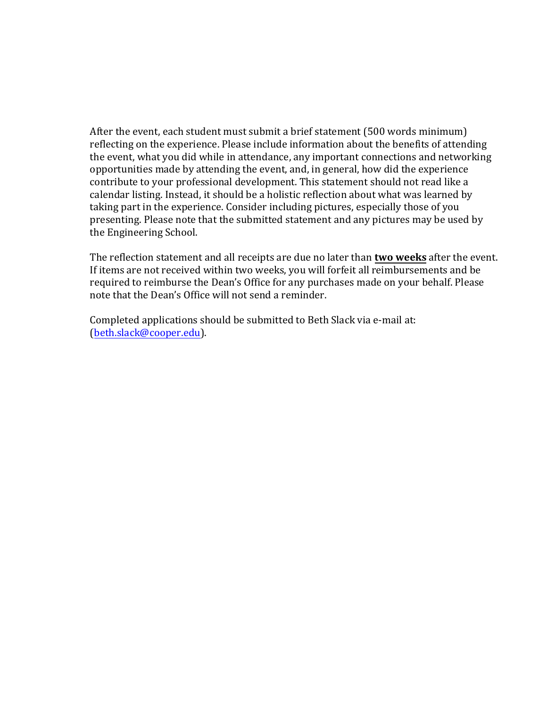After the event, each student must submit a brief statement (500 words minimum) reflecting on the experience. Please include information about the benefits of attending the event, what you did while in attendance, any important connections and networking opportunities made by attending the event, and, in general, how did the experience contribute to your professional development. This statement should not read like a calendar listing. Instead, it should be a holistic reflection about what was learned by taking part in the experience. Consider including pictures, especially those of you presenting. Please note that the submitted statement and any pictures may be used by the Engineering School.

The reflection statement and all receipts are due no later than **two weeks** after the event. If items are not received within two weeks, you will forfeit all reimbursements and be required to reimburse the Dean's Office for any purchases made on your behalf. Please note that the Dean's Office will not send a reminder.

Completed applications should be submitted to Beth Slack via e-mail at: [\(beth.slack@cooper.edu](mailto:beth.slack@cooper.edu)).